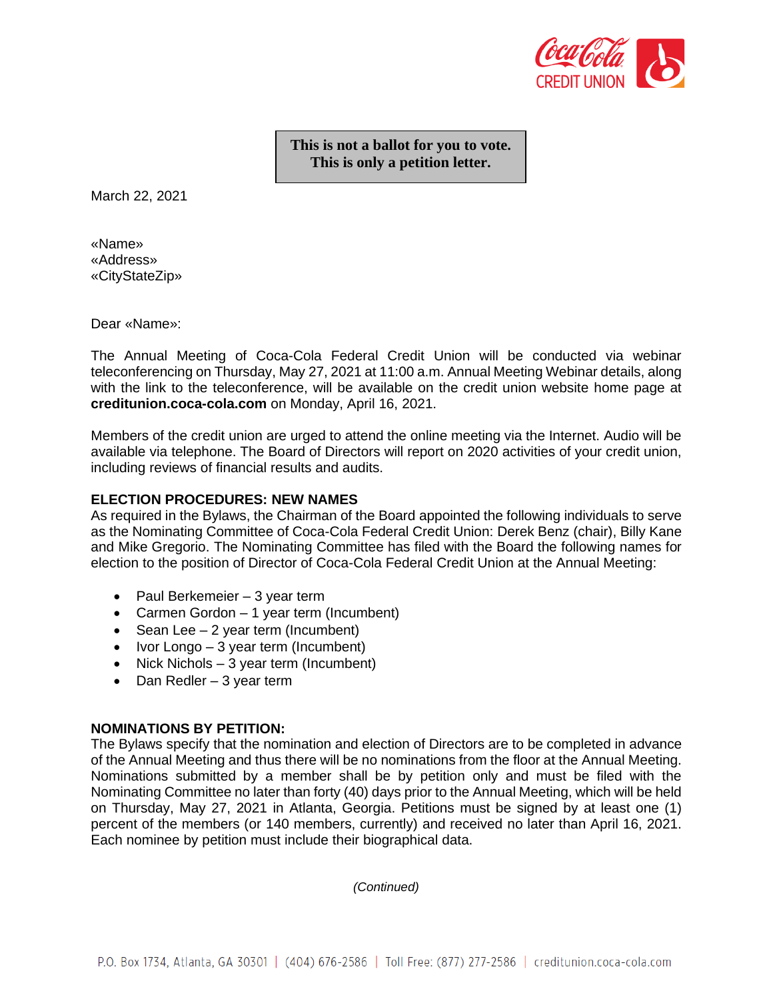

**This is not a ballot for you to vote. This is only a petition letter.**

March 22, 2021

«Name» «Address» «CityStateZip»

Dear «Name»:

The Annual Meeting of Coca-Cola Federal Credit Union will be conducted via webinar teleconferencing on Thursday, May 27, 2021 at 11:00 a.m. Annual Meeting Webinar details, along with the link to the teleconference, will be available on the credit union website home page at **creditunion.coca-cola.com** on Monday, April 16, 2021.

Members of the credit union are urged to attend the online meeting via the Internet. Audio will be available via telephone. The Board of Directors will report on 2020 activities of your credit union, including reviews of financial results and audits.

#### **ELECTION PROCEDURES: NEW NAMES**

As required in the Bylaws, the Chairman of the Board appointed the following individuals to serve as the Nominating Committee of Coca-Cola Federal Credit Union: Derek Benz (chair), Billy Kane and Mike Gregorio. The Nominating Committee has filed with the Board the following names for election to the position of Director of Coca-Cola Federal Credit Union at the Annual Meeting:

- Paul Berkemeier 3 year term
- Carmen Gordon 1 year term (Incumbent)
- Sean Lee 2 year term (Incumbent)
- Ivor Longo  $-3$  year term (Incumbent)
- Nick Nichols 3 year term (Incumbent)
- Dan Redler 3 year term

#### **NOMINATIONS BY PETITION:**

The Bylaws specify that the nomination and election of Directors are to be completed in advance of the Annual Meeting and thus there will be no nominations from the floor at the Annual Meeting. Nominations submitted by a member shall be by petition only and must be filed with the Nominating Committee no later than forty (40) days prior to the Annual Meeting, which will be held on Thursday, May 27, 2021 in Atlanta, Georgia. Petitions must be signed by at least one (1) percent of the members (or 140 members, currently) and received no later than April 16, 2021. Each nominee by petition must include their biographical data.

*(Continued)*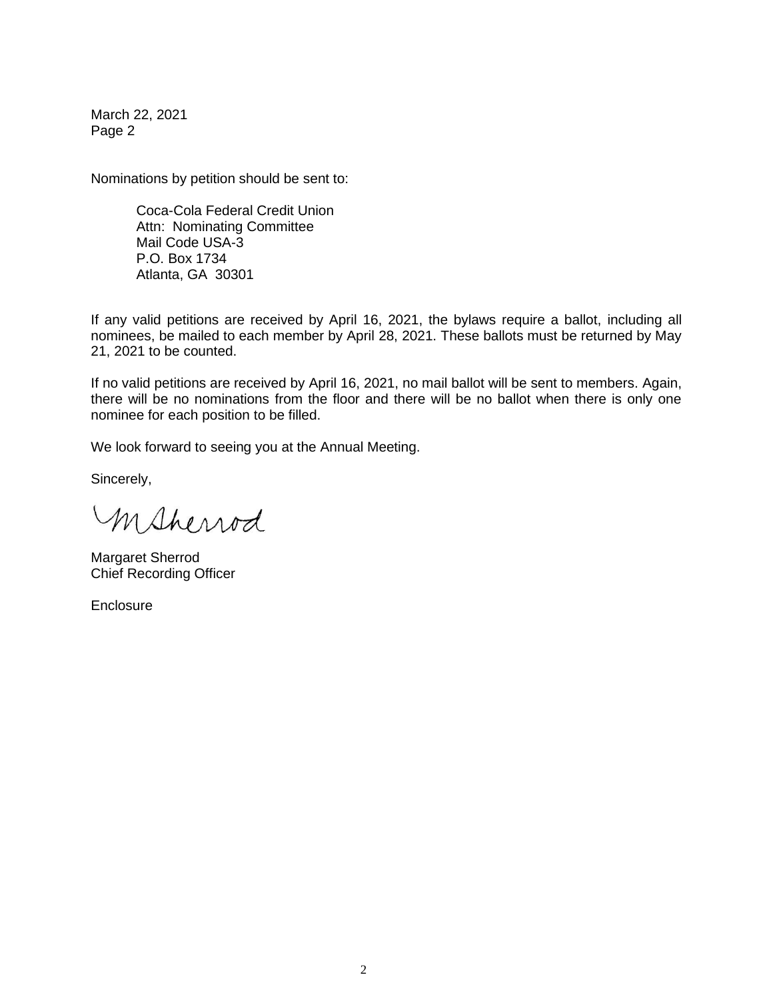March 22, 2021 Page 2

Nominations by petition should be sent to:

Coca-Cola Federal Credit Union Attn: Nominating Committee Mail Code USA-3 P.O. Box 1734 Atlanta, GA 30301

If any valid petitions are received by April 16, 2021, the bylaws require a ballot, including all nominees, be mailed to each member by April 28, 2021. These ballots must be returned by May 21, 2021 to be counted.

If no valid petitions are received by April 16, 2021, no mail ballot will be sent to members. Again, there will be no nominations from the floor and there will be no ballot when there is only one nominee for each position to be filled.

We look forward to seeing you at the Annual Meeting.

Sincerely,

msherrod

Margaret Sherrod Chief Recording Officer

**Enclosure**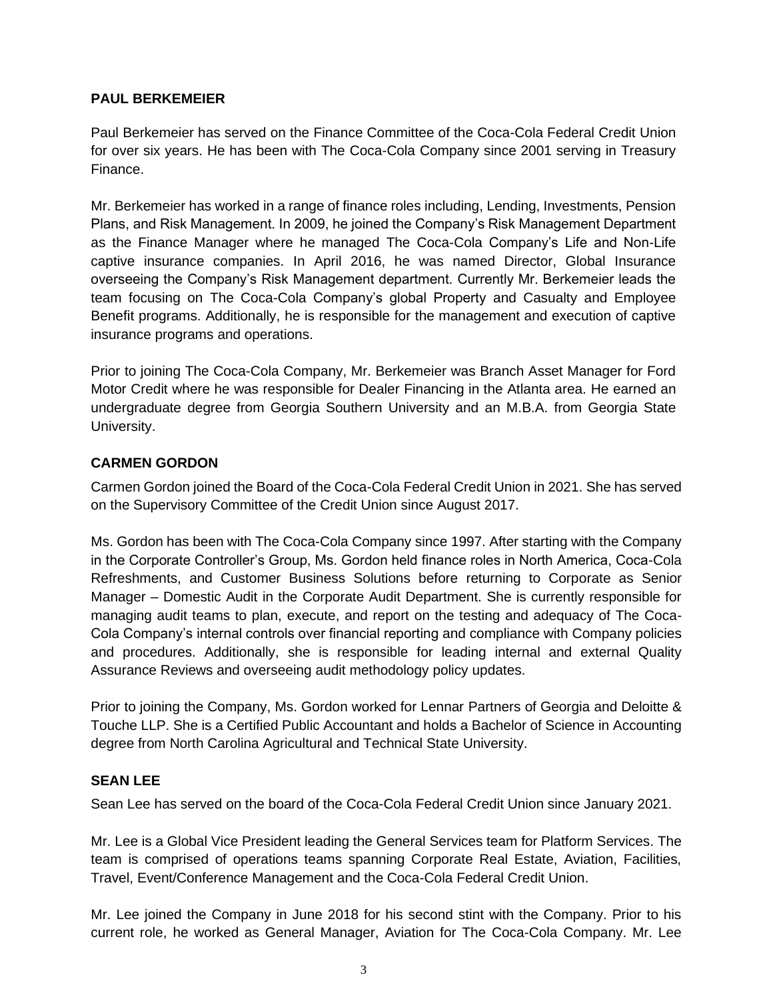### **PAUL BERKEMEIER**

Paul Berkemeier has served on the Finance Committee of the Coca-Cola Federal Credit Union for over six years. He has been with The Coca-Cola Company since 2001 serving in Treasury Finance.

Mr. Berkemeier has worked in a range of finance roles including, Lending, Investments, Pension Plans, and Risk Management. In 2009, he joined the Company's Risk Management Department as the Finance Manager where he managed The Coca-Cola Company's Life and Non-Life captive insurance companies. In April 2016, he was named Director, Global Insurance overseeing the Company's Risk Management department. Currently Mr. Berkemeier leads the team focusing on The Coca-Cola Company's global Property and Casualty and Employee Benefit programs. Additionally, he is responsible for the management and execution of captive insurance programs and operations.

Prior to joining The Coca-Cola Company, Mr. Berkemeier was Branch Asset Manager for Ford Motor Credit where he was responsible for Dealer Financing in the Atlanta area. He earned an undergraduate degree from Georgia Southern University and an M.B.A. from Georgia State University.

# **CARMEN GORDON**

Carmen Gordon joined the Board of the Coca-Cola Federal Credit Union in 2021. She has served on the Supervisory Committee of the Credit Union since August 2017.

Ms. Gordon has been with The Coca-Cola Company since 1997. After starting with the Company in the Corporate Controller's Group, Ms. Gordon held finance roles in North America, Coca-Cola Refreshments, and Customer Business Solutions before returning to Corporate as Senior Manager – Domestic Audit in the Corporate Audit Department. She is currently responsible for managing audit teams to plan, execute, and report on the testing and adequacy of The Coca-Cola Company's internal controls over financial reporting and compliance with Company policies and procedures. Additionally, she is responsible for leading internal and external Quality Assurance Reviews and overseeing audit methodology policy updates.

Prior to joining the Company, Ms. Gordon worked for Lennar Partners of Georgia and Deloitte & Touche LLP. She is a Certified Public Accountant and holds a Bachelor of Science in Accounting degree from North Carolina Agricultural and Technical State University.

### **SEAN LEE**

Sean Lee has served on the board of the Coca-Cola Federal Credit Union since January 2021.

Mr. Lee is a Global Vice President leading the General Services team for Platform Services. The team is comprised of operations teams spanning Corporate Real Estate, Aviation, Facilities, Travel, Event/Conference Management and the Coca-Cola Federal Credit Union.

Mr. Lee joined the Company in June 2018 for his second stint with the Company. Prior to his current role, he worked as General Manager, Aviation for The Coca-Cola Company. Mr. Lee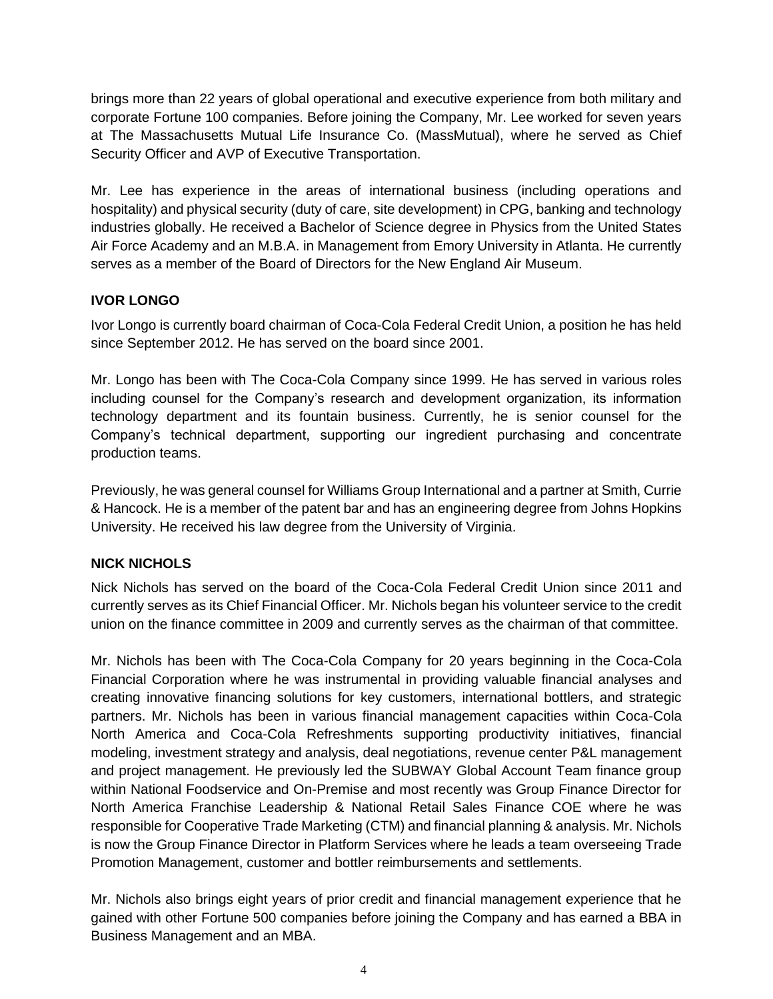brings more than 22 years of global operational and executive experience from both military and corporate Fortune 100 companies. Before joining the Company, Mr. Lee worked for seven years at The Massachusetts Mutual Life Insurance Co. (MassMutual), where he served as Chief Security Officer and AVP of Executive Transportation.

Mr. Lee has experience in the areas of international business (including operations and hospitality) and physical security (duty of care, site development) in CPG, banking and technology industries globally. He received a Bachelor of Science degree in Physics from the United States Air Force Academy and an M.B.A. in Management from Emory University in Atlanta. He currently serves as a member of the Board of Directors for the New England Air Museum.

# **IVOR LONGO**

Ivor Longo is currently board chairman of Coca-Cola Federal Credit Union, a position he has held since September 2012. He has served on the board since 2001.

Mr. Longo has been with The Coca-Cola Company since 1999. He has served in various roles including counsel for the Company's research and development organization, its information technology department and its fountain business. Currently, he is senior counsel for the Company's technical department, supporting our ingredient purchasing and concentrate production teams.

Previously, he was general counsel for Williams Group International and a partner at Smith, Currie & Hancock. He is a member of the patent bar and has an engineering degree from Johns Hopkins University. He received his law degree from the University of Virginia.

# **NICK NICHOLS**

Nick Nichols has served on the board of the Coca-Cola Federal Credit Union since 2011 and currently serves as its Chief Financial Officer. Mr. Nichols began his volunteer service to the credit union on the finance committee in 2009 and currently serves as the chairman of that committee.

Mr. Nichols has been with The Coca-Cola Company for 20 years beginning in the Coca-Cola Financial Corporation where he was instrumental in providing valuable financial analyses and creating innovative financing solutions for key customers, international bottlers, and strategic partners. Mr. Nichols has been in various financial management capacities within Coca-Cola North America and Coca-Cola Refreshments supporting productivity initiatives, financial modeling, investment strategy and analysis, deal negotiations, revenue center P&L management and project management. He previously led the SUBWAY Global Account Team finance group within National Foodservice and On-Premise and most recently was Group Finance Director for North America Franchise Leadership & National Retail Sales Finance COE where he was responsible for Cooperative Trade Marketing (CTM) and financial planning & analysis. Mr. Nichols is now the Group Finance Director in Platform Services where he leads a team overseeing Trade Promotion Management, customer and bottler reimbursements and settlements.

Mr. Nichols also brings eight years of prior credit and financial management experience that he gained with other Fortune 500 companies before joining the Company and has earned a BBA in Business Management and an MBA.